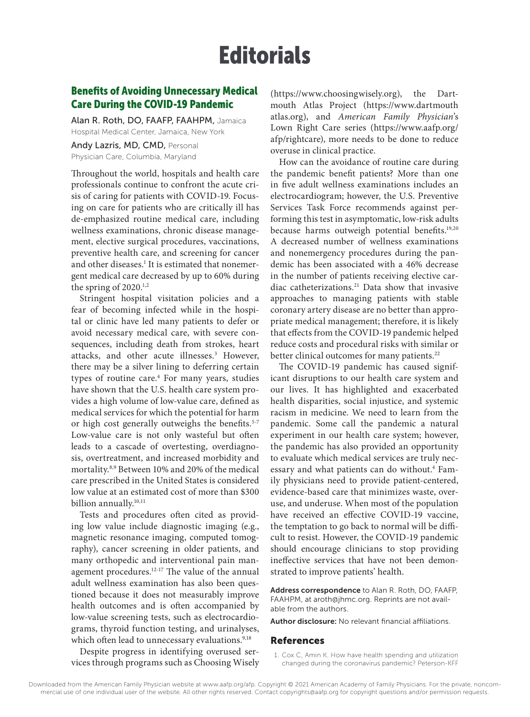## **Editorials**

## Benefits of Avoiding Unnecessary Medical Care During the COVID-19 Pandemic

Alan R. Roth, DO, FAAFP, FAAHPM, Jamaica Hospital Medical Center, Jamaica, New York

Andy Lazris, MD, CMD, Personal Physician Care, Columbia, Maryland

Throughout the world, hospitals and health care professionals continue to confront the acute crisis of caring for patients with COVID-19. Focusing on care for patients who are critically ill has de-emphasized routine medical care, including wellness examinations, chronic disease management, elective surgical procedures, vaccinations, preventive health care, and screening for cancer and other diseases.<sup>1</sup> It is estimated that nonemergent medical care decreased by up to 60% during the spring of  $2020$ <sup>1,2</sup>

Stringent hospital visitation policies and a fear of becoming infected while in the hospital or clinic have led many patients to defer or avoid necessary medical care, with severe consequences, including death from strokes, heart attacks, and other acute illnesses.3 However, there may be a silver lining to deferring certain types of routine care.<sup>4</sup> For many years, studies have shown that the U.S. health care system provides a high volume of low-value care, defined as medical services for which the potential for harm or high cost generally outweighs the benefits.<sup>5-7</sup> Low-value care is not only wasteful but often leads to a cascade of overtesting, overdiagnosis, overtreatment, and increased morbidity and mortality.8,9 Between 10% and 20% of the medical care prescribed in the United States is considered low value at an estimated cost of more than \$300 billion annually.<sup>10,11</sup>

Tests and procedures often cited as providing low value include diagnostic imaging (e.g., magnetic resonance imaging, computed tomography), cancer screening in older patients, and many orthopedic and interventional pain management procedures.12-17 The value of the annual adult wellness examination has also been questioned because it does not measurably improve health outcomes and is often accompanied by low-value screening tests, such as electrocardiograms, thyroid function testing, and urinalyses, which often lead to unnecessary evaluations.<sup>9,18</sup>

Despite progress in identifying overused services through programs such as Choosing Wisely

(https://www.choosingwisely.org), the Dartmouth Atlas Project (https://www.dartmouth atlas.org), and *American Family Physician*'s Lown Right Care series (https://www.aafp.org/ afp/rightcare), more needs to be done to reduce overuse in clinical practice.

How can the avoidance of routine care during the pandemic benefit patients? More than one in five adult wellness examinations includes an electrocardiogram; however, the U.S. Preventive Services Task Force recommends against performing this test in asymptomatic, low-risk adults because harms outweigh potential benefits.19,20 A decreased number of wellness examinations and nonemergency procedures during the pandemic has been associated with a 46% decrease in the number of patients receiving elective cardiac catheterizations.21 Data show that invasive approaches to managing patients with stable coronary artery disease are no better than appropriate medical management; therefore, it is likely that effects from the COVID-19 pandemic helped reduce costs and procedural risks with similar or better clinical outcomes for many patients.<sup>22</sup>

The COVID-19 pandemic has caused significant disruptions to our health care system and our lives. It has highlighted and exacerbated health disparities, social injustice, and systemic racism in medicine. We need to learn from the pandemic. Some call the pandemic a natural experiment in our health care system; however, the pandemic has also provided an opportunity to evaluate which medical services are truly necessary and what patients can do without.<sup>4</sup> Family physicians need to provide patient-centered, evidence-based care that minimizes waste, overuse, and underuse. When most of the population have received an effective COVID-19 vaccine, the temptation to go back to normal will be difficult to resist. However, the COVID-19 pandemic should encourage clinicians to stop providing ineffective services that have not been demonstrated to improve patients' health.

Address correspondence to Alan R. Roth, DO, FAAFP, FAAHPM, at aroth@jhmc.org. Reprints are not available from the authors.

Author disclosure: No relevant financial affiliations.

## References

1. Cox C, Amin K. How have health spending and utilization changed during the coronavirus pandemic? Peterson-KFF